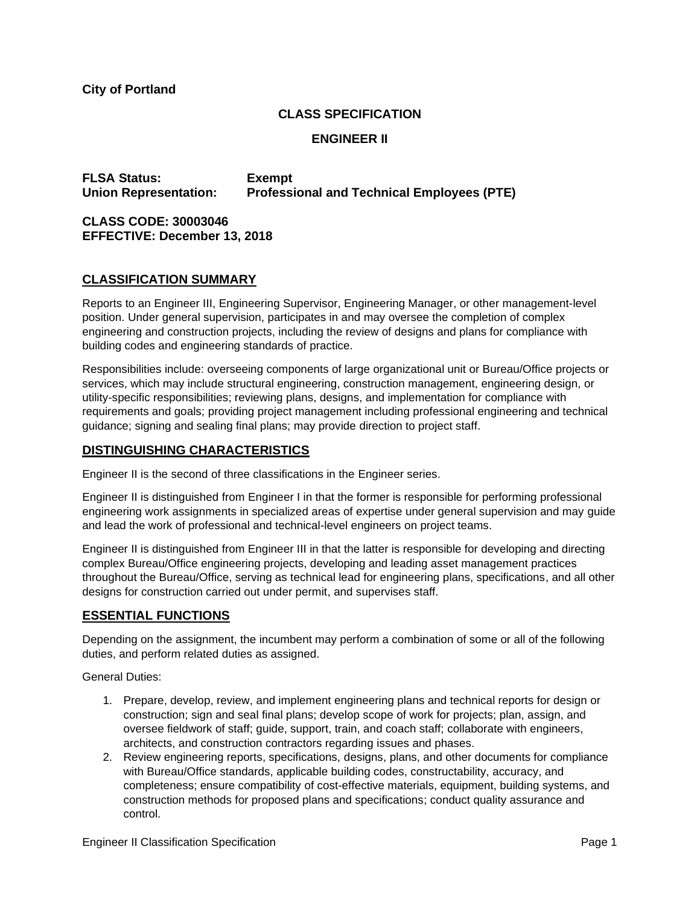**City of Portland**

# **CLASS SPECIFICATION**

## **ENGINEER II**

**FLSA Status: Exempt Union Representation: Professional and Technical Employees (PTE)**

**CLASS CODE: 30003046 EFFECTIVE: December 13, 2018**

#### **CLASSIFICATION SUMMARY**

Reports to an Engineer III, Engineering Supervisor, Engineering Manager, or other management-level position. Under general supervision, participates in and may oversee the completion of complex engineering and construction projects, including the review of designs and plans for compliance with building codes and engineering standards of practice.

Responsibilities include: overseeing components of large organizational unit or Bureau/Office projects or services, which may include structural engineering, construction management, engineering design, or utility-specific responsibilities; reviewing plans, designs, and implementation for compliance with requirements and goals; providing project management including professional engineering and technical guidance; signing and sealing final plans; may provide direction to project staff.

## **DISTINGUISHING CHARACTERISTICS**

Engineer II is the second of three classifications in the Engineer series.

Engineer II is distinguished from Engineer I in that the former is responsible for performing professional engineering work assignments in specialized areas of expertise under general supervision and may guide and lead the work of professional and technical-level engineers on project teams.

Engineer II is distinguished from Engineer III in that the latter is responsible for developing and directing complex Bureau/Office engineering projects, developing and leading asset management practices throughout the Bureau/Office, serving as technical lead for engineering plans, specifications, and all other designs for construction carried out under permit, and supervises staff.

# **ESSENTIAL FUNCTIONS**

Depending on the assignment, the incumbent may perform a combination of some or all of the following duties, and perform related duties as assigned.

General Duties:

- 1. Prepare, develop, review, and implement engineering plans and technical reports for design or construction; sign and seal final plans; develop scope of work for projects; plan, assign, and oversee fieldwork of staff; guide, support, train, and coach staff; collaborate with engineers, architects, and construction contractors regarding issues and phases.
- 2. Review engineering reports, specifications, designs, plans, and other documents for compliance with Bureau/Office standards, applicable building codes, constructability, accuracy, and completeness; ensure compatibility of cost-effective materials, equipment, building systems, and construction methods for proposed plans and specifications; conduct quality assurance and control.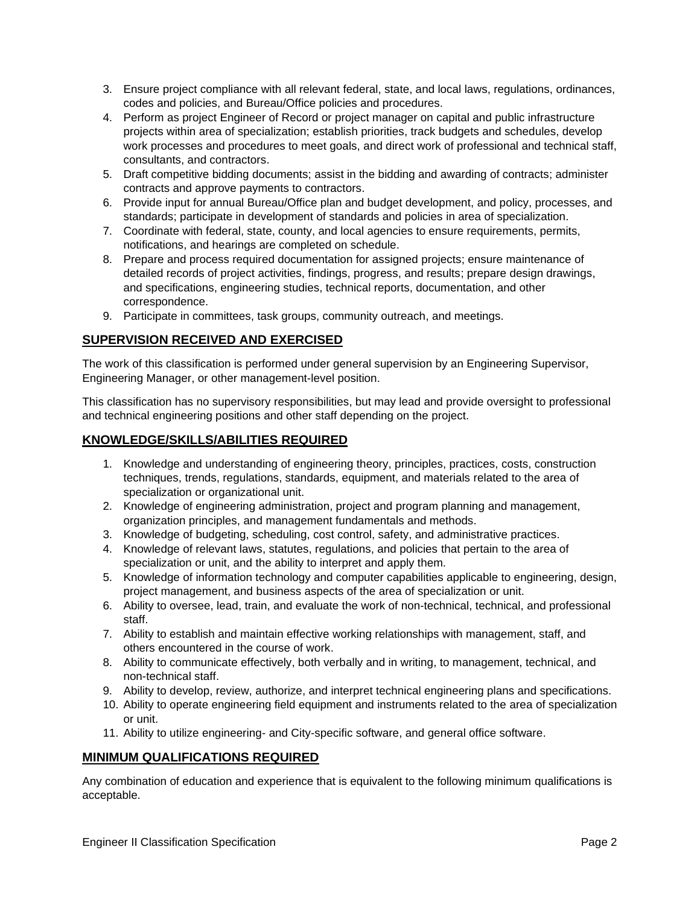- 3. Ensure project compliance with all relevant federal, state, and local laws, regulations, ordinances, codes and policies, and Bureau/Office policies and procedures.
- 4. Perform as project Engineer of Record or project manager on capital and public infrastructure projects within area of specialization; establish priorities, track budgets and schedules, develop work processes and procedures to meet goals, and direct work of professional and technical staff, consultants, and contractors.
- 5. Draft competitive bidding documents; assist in the bidding and awarding of contracts; administer contracts and approve payments to contractors.
- 6. Provide input for annual Bureau/Office plan and budget development, and policy, processes, and standards; participate in development of standards and policies in area of specialization.
- 7. Coordinate with federal, state, county, and local agencies to ensure requirements, permits, notifications, and hearings are completed on schedule.
- 8. Prepare and process required documentation for assigned projects; ensure maintenance of detailed records of project activities, findings, progress, and results; prepare design drawings, and specifications, engineering studies, technical reports, documentation, and other correspondence.
- 9. Participate in committees, task groups, community outreach, and meetings.

#### **SUPERVISION RECEIVED AND EXERCISED**

The work of this classification is performed under general supervision by an Engineering Supervisor, Engineering Manager, or other management-level position.

This classification has no supervisory responsibilities, but may lead and provide oversight to professional and technical engineering positions and other staff depending on the project.

# **KNOWLEDGE/SKILLS/ABILITIES REQUIRED**

- 1. Knowledge and understanding of engineering theory, principles, practices, costs, construction techniques, trends, regulations, standards, equipment, and materials related to the area of specialization or organizational unit.
- 2. Knowledge of engineering administration, project and program planning and management, organization principles, and management fundamentals and methods.
- 3. Knowledge of budgeting, scheduling, cost control, safety, and administrative practices.
- 4. Knowledge of relevant laws, statutes, regulations, and policies that pertain to the area of specialization or unit, and the ability to interpret and apply them.
- 5. Knowledge of information technology and computer capabilities applicable to engineering, design, project management, and business aspects of the area of specialization or unit.
- 6. Ability to oversee, lead, train, and evaluate the work of non-technical, technical, and professional staff.
- 7. Ability to establish and maintain effective working relationships with management, staff, and others encountered in the course of work.
- 8. Ability to communicate effectively, both verbally and in writing, to management, technical, and non-technical staff.
- 9. Ability to develop, review, authorize, and interpret technical engineering plans and specifications.
- 10. Ability to operate engineering field equipment and instruments related to the area of specialization or unit.
- 11. Ability to utilize engineering- and City-specific software, and general office software.

#### **MINIMUM QUALIFICATIONS REQUIRED**

Any combination of education and experience that is equivalent to the following minimum qualifications is acceptable.